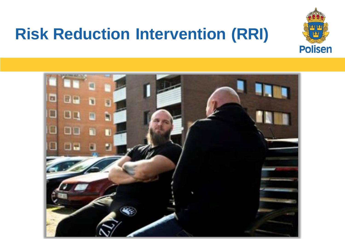## **Risk Reduction Intervention (RRI)**



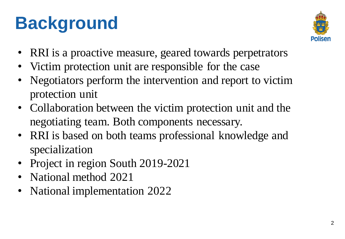# **Background**



- RRI is a proactive measure, geared towards perpetrators
- Victim protection unit are responsible for the case
- Negotiators perform the intervention and report to victim protection unit
- Collaboration between the victim protection unit and the negotiating team. Both components necessary.
- RRI is based on both teams professional knowledge and specialization
- Project in region South 2019-2021
- National method 2021
- National implementation 2022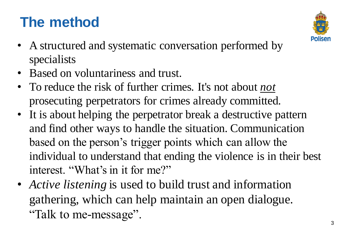### **The method**



- A structured and systematic conversation performed by specialists
- Based on voluntariness and trust.
- To reduce the risk of further crimes. It's not about *not* prosecuting perpetrators for crimes already committed.
- It is about helping the perpetrator break a destructive pattern and find other ways to handle the situation. Communication based on the person's trigger points which can allow the individual to understand that ending the violence is in their best interest. "What's in it for me?"
- *Active listening* is used to build trust and information gathering, which can help maintain an open dialogue. "Talk to me-message".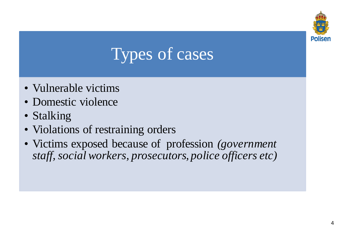

## Types of cases

- Vulnerable victims
- Domestic violence
- Stalking
- Violations of restraining orders
- Victims exposed because of profession *(government staff, social workers, prosecutors, police officers etc)*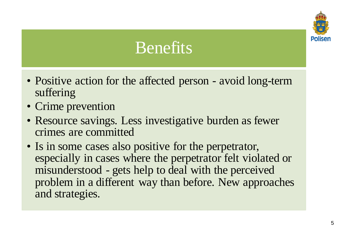

## Benefits

- Positive action for the affected person avoid long-term suffering
- Crime prevention
- Resource savings. Less investigative burden as fewer crimes are committed
- Is in some cases also positive for the perpetrator, especially in cases where the perpetrator felt violated or misunderstood - gets help to deal with the perceived problem in a different way than before. New approaches and strategies.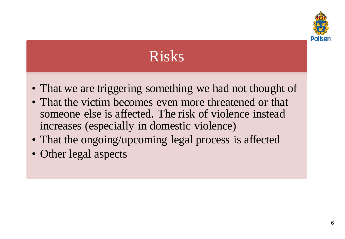

### Risks

- That we are triggering something we had not thought of
- That the victim becomes even more threatened or that someone else is affected. The risk of violence instead increases (especially in domestic violence)
- That the ongoing/upcoming legal process is affected
- Other legal aspects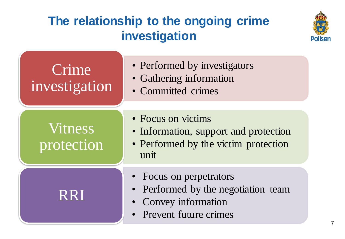### **The relationship to the ongoing crime investigation**



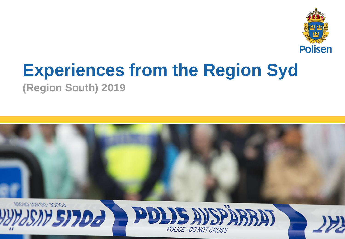

## **Experiences from the Region Syd**

**(Region South) 2019**

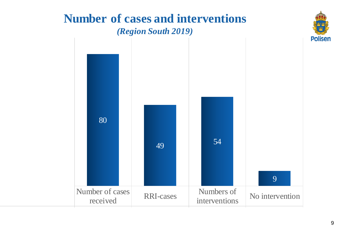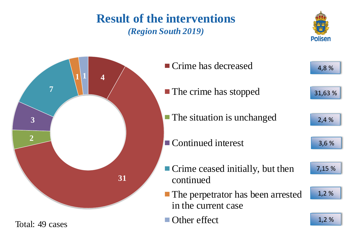#### **Result of the interventions** *(Region South 2019)*



Total: 49 cases



**Polisen**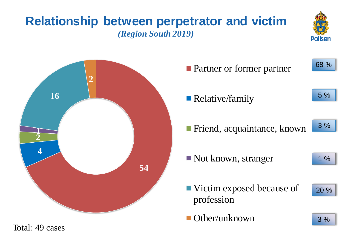### **Relationship between perpetrator and victim** *(Region South 2019)*





| <b>Partner or former partner</b>          | 68 % |
|-------------------------------------------|------|
| • Relative/family                         | 5 %  |
| ■ Friend, acquaintance, known             | 3%   |
| $\blacksquare$ Not known, stranger        | 1%   |
| ■ Victim exposed because of<br>profession | 20 % |
| Other/unknown                             | 3%   |

Total: 49 cases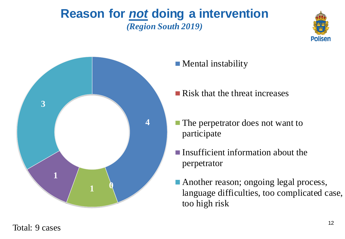#### **Reason for** *not* **doing a intervention** *(Region South 2019)*





**Mental instability** 

- **Risk that the threat increases**
- The perpetrator does not want to participate
- **Insufficient information about the** perpetrator
- **Another reason; ongoing legal process,** language difficulties, too complicated case, too high risk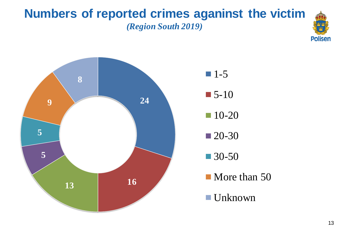#### **Numbers of reported crimes aganinst the victim** *(Region South 2019)*



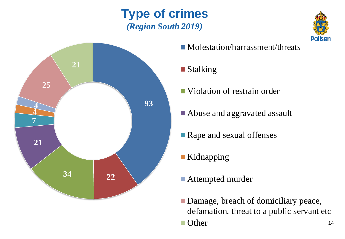### **Type of crimes** *(Region South 2019)*



- Molestation/harrassment/threats
- **Stalking**
- Violation of restrain order
- Abuse and aggravated assault
- Rape and sexual offenses
- **Kidnapping**
- Attempted murder
- **Damage, breach of domiciliary peace,** defamation, threat to a public servant etc
- **Other** m.